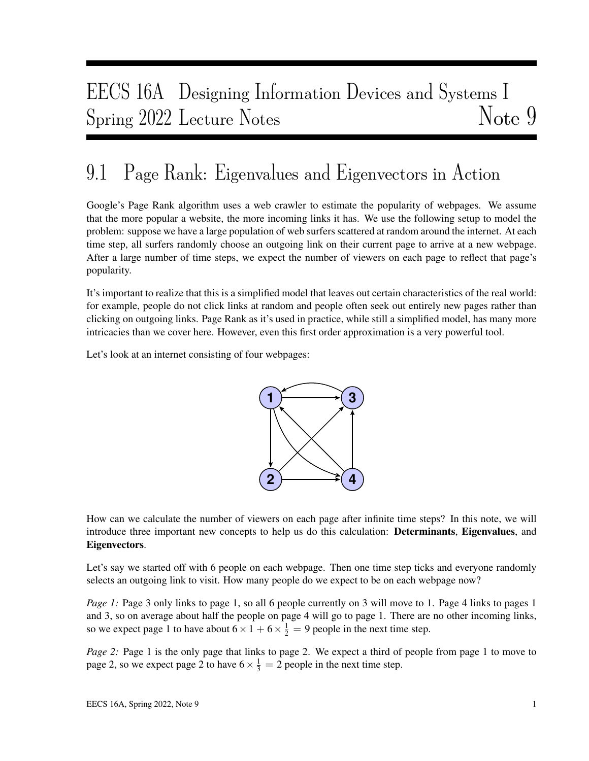# EECS 16A Designing Information Devices and Systems I Spring 2022 Lecture Notes Note 9

# 9.1 Page Rank: Eigenvalues and Eigenvectors in Action

Google's Page Rank algorithm uses a web crawler to estimate the popularity of webpages. We assume that the more popular a website, the more incoming links it has. We use the following setup to model the problem: suppose we have a large population of web surfers scattered at random around the internet. At each time step, all surfers randomly choose an outgoing link on their current page to arrive at a new webpage. After a large number of time steps, we expect the number of viewers on each page to reflect that page's popularity.

It's important to realize that this is a simplified model that leaves out certain characteristics of the real world: for example, people do not click links at random and people often seek out entirely new pages rather than clicking on outgoing links. Page Rank as it's used in practice, while still a simplified model, has many more intricacies than we cover here. However, even this first order approximation is a very powerful tool.

Let's look at an internet consisting of four webpages:



How can we calculate the number of viewers on each page after infinite time steps? In this note, we will introduce three important new concepts to help us do this calculation: **Determinants, Eigenvalues**, and Eigenvectors.

Let's say we started off with 6 people on each webpage. Then one time step ticks and everyone randomly selects an outgoing link to visit. How many people do we expect to be on each webpage now?

*Page 1:* Page 3 only links to page 1, so all 6 people currently on 3 will move to 1. Page 4 links to pages 1 and 3, so on average about half the people on page 4 will go to page 1. There are no other incoming links, so we expect page 1 to have about  $6 \times 1 + 6 \times \frac{1}{2} = 9$  people in the next time step.

*Page 2:* Page 1 is the only page that links to page 2. We expect a third of people from page 1 to move to page 2, so we expect page 2 to have  $6 \times \frac{1}{3} = 2$  people in the next time step.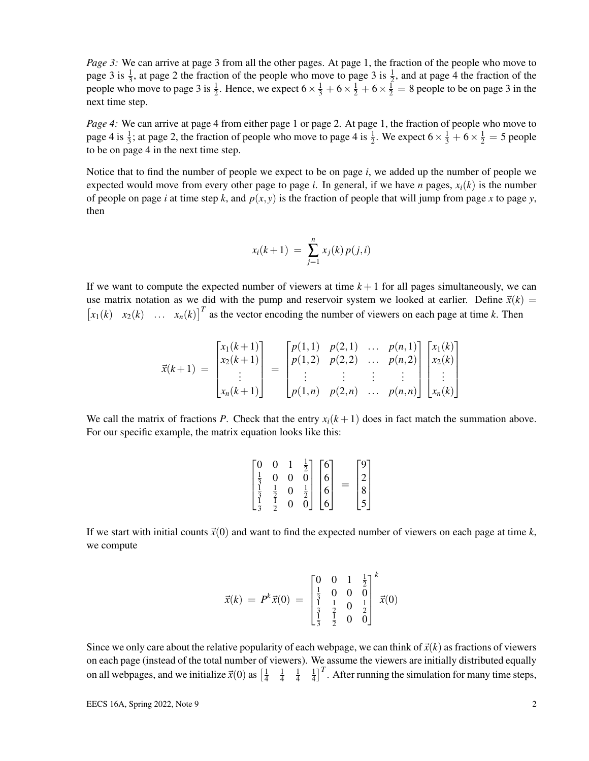*Page 3:* We can arrive at page 3 from all the other pages. At page 1, the fraction of the people who move to page 3 is  $\frac{1}{3}$ , at page 2 the fraction of the people who move to page 3 is  $\frac{1}{2}$ , and at page 4 the fraction of the people who move to page 3 is  $\frac{1}{2}$ . Hence, we expect  $6 \times \frac{1}{3} + 6 \times \frac{1}{2} + 6 \times \frac{1}{2} = 8$  people to be on page 3 in the next time step.

*Page 4:* We can arrive at page 4 from either page 1 or page 2. At page 1, the fraction of people who move to page 4 is  $\frac{1}{3}$ ; at page 2, the fraction of people who move to page 4 is  $\frac{1}{2}$ . We expect  $6 \times \frac{1}{3} + 6 \times \frac{1}{2} = 5$  people to be on page 4 in the next time step.

Notice that to find the number of people we expect to be on page *i*, we added up the number of people we expected would move from every other page to page *i*. In general, if we have *n* pages,  $x_i(k)$  is the number of people on page *i* at time step *k*, and  $p(x, y)$  is the fraction of people that will jump from page *x* to page *y*, then

$$
x_i(k+1) = \sum_{j=1}^n x_j(k) p(j,i)
$$

If we want to compute the expected number of viewers at time  $k+1$  for all pages simultaneously, we can use matrix notation as we did with the pump and reservoir system we looked at earlier. Define  $\vec{x}(k)$  =  $\begin{bmatrix} x_1(k) & x_2(k) & \dots & x_n(k) \end{bmatrix}^T$  as the vector encoding the number of viewers on each page at time *k*. Then

$$
\vec{x}(k+1) = \begin{bmatrix} x_1(k+1) \\ x_2(k+1) \\ \vdots \\ x_n(k+1) \end{bmatrix} = \begin{bmatrix} p(1,1) & p(2,1) & \dots & p(n,1) \\ p(1,2) & p(2,2) & \dots & p(n,2) \\ \vdots & \vdots & \vdots & \vdots \\ p(1,n) & p(2,n) & \dots & p(n,n) \end{bmatrix} \begin{bmatrix} x_1(k) \\ x_2(k) \\ \vdots \\ x_n(k) \end{bmatrix}
$$

We call the matrix of fractions *P*. Check that the entry  $x_i(k+1)$  does in fact match the summation above. For our specific example, the matrix equation looks like this:

|                                |                |                |                 | $\lceil 6 \rceil$ | 9 |  |
|--------------------------------|----------------|----------------|-----------------|-------------------|---|--|
|                                | $\overline{0}$ | Ò              | $\frac{1}{2}$ 0 |                   |   |  |
| $\frac{1}{3}$<br>$\frac{1}{3}$ | $\overline{2}$ | $\overline{0}$ | $\frac{1}{2}$   |                   | Q |  |
|                                | $rac{1}{2}$    |                |                 |                   |   |  |

If we start with initial counts  $\vec{x}(0)$  and want to find the expected number of viewers on each page at time  $k$ , we compute

$$
\vec{x}(k) = P^{k}\vec{x}(0) = \begin{bmatrix} 0 & 0 & 1 & \frac{1}{2} \\ \frac{1}{3} & 0 & 0 & 0 \\ \frac{1}{3} & \frac{1}{2} & 0 & \frac{1}{2} \\ \frac{1}{3} & \frac{1}{2} & 0 & 0 \end{bmatrix}^{k} \vec{x}(0)
$$

Since we only care about the relative popularity of each webpage, we can think of  $\vec{x}(k)$  as fractions of viewers on each page (instead of the total number of viewers). We assume the viewers are initially distributed equally on all webpages, and we initialize  $\vec{x}(0)$  as  $\left[\frac{1}{4}\right]$ 4 1 4 1 4 1  $\frac{1}{4}$ <sup>T</sup>. After running the simulation for many time steps,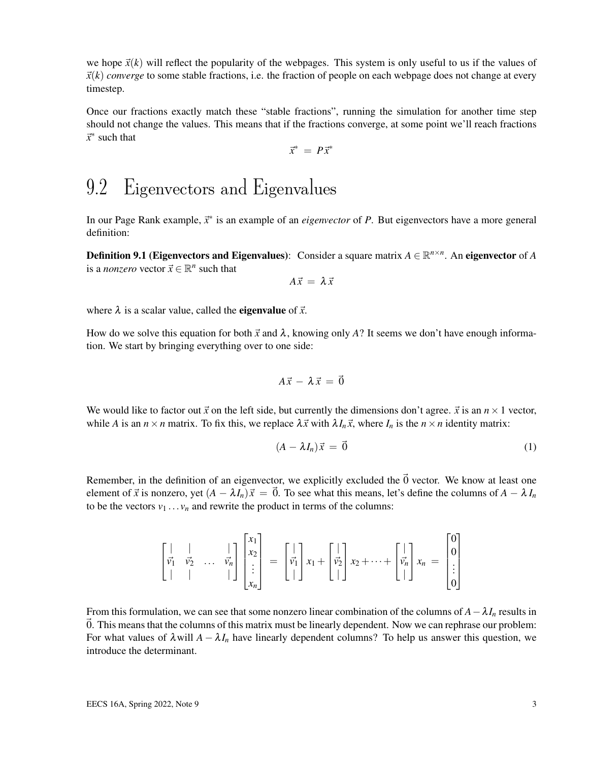we hope  $\vec{x}(k)$  will reflect the popularity of the webpages. This system is only useful to us if the values of  $\vec{x}(k)$  *converge* to some stable fractions, i.e. the fraction of people on each webpage does not change at every timestep.

Once our fractions exactly match these "stable fractions", running the simulation for another time step should not change the values. This means that if the fractions converge, at some point we'll reach fractions ~*x* ∗ such that

$$
\vec{x}^* = P\vec{x}^*
$$

# 9.2 Eigenvectors and Eigenvalues

In our Page Rank example,  $\vec{x}^*$  is an example of an *eigenvector* of *P*. But eigenvectors have a more general definition:

**Definition 9.1** (Eigenvectors and Eigenvalues): Consider a square matrix  $A \in \mathbb{R}^{n \times n}$ . An eigenvector of A is a *nonzero* vector  $\vec{x} \in \mathbb{R}^n$  such that

 $A\vec{x} = \lambda \vec{x}$ 

where  $\lambda$  is a scalar value, called the **eigenvalue** of  $\vec{x}$ .

How do we solve this equation for both  $\vec{x}$  and  $\lambda$ , knowing only A? It seems we don't have enough information. We start by bringing everything over to one side:

$$
A\vec{x} - \lambda \vec{x} = \vec{0}
$$

We would like to factor out  $\vec{x}$  on the left side, but currently the dimensions don't agree.  $\vec{x}$  is an  $n \times 1$  vector, while *A* is an  $n \times n$  matrix. To fix this, we replace  $\lambda \vec{x}$  with  $\lambda I_n \vec{x}$ , where  $I_n$  is the  $n \times n$  identity matrix:

$$
(A - \lambda I_n)\vec{x} = \vec{0} \tag{1}
$$

Remember, in the definition of an eigenvector, we explicitly excluded the  $\vec{0}$  vector. We know at least one element of  $\vec{x}$  is nonzero, yet  $(A - \lambda I_n)\vec{x} = \vec{0}$ . To see what this means, let's define the columns of  $A - \lambda I_n$ to be the vectors  $v_1 \ldots v_n$  and rewrite the product in terms of the columns:

$$
\begin{bmatrix} | & | & | \\ \vec{v_1} & \vec{v_2} & \dots & \vec{v_n} \\ | & | & | & | \end{bmatrix} \begin{bmatrix} x_1 \\ x_2 \\ \vdots \\ x_n \end{bmatrix} = \begin{bmatrix} | & | \\ \vec{v_1} \\ | & | \end{bmatrix} x_1 + \begin{bmatrix} | & | \\ \vec{v_2} \\ | & | \end{bmatrix} x_2 + \dots + \begin{bmatrix} | & | \\ \vec{v_n} \\ | & | \end{bmatrix} x_n = \begin{bmatrix} 0 \\ 0 \\ \vdots \\ 0 \end{bmatrix}
$$

From this formulation, we can see that some nonzero linear combination of the columns of  $A - \lambda I_n$  results in ~0. This means that the columns of this matrix must be linearly dependent. Now we can rephrase our problem: For what values of  $\lambda$  will  $A - \lambda I_n$  have linearly dependent columns? To help us answer this question, we introduce the determinant.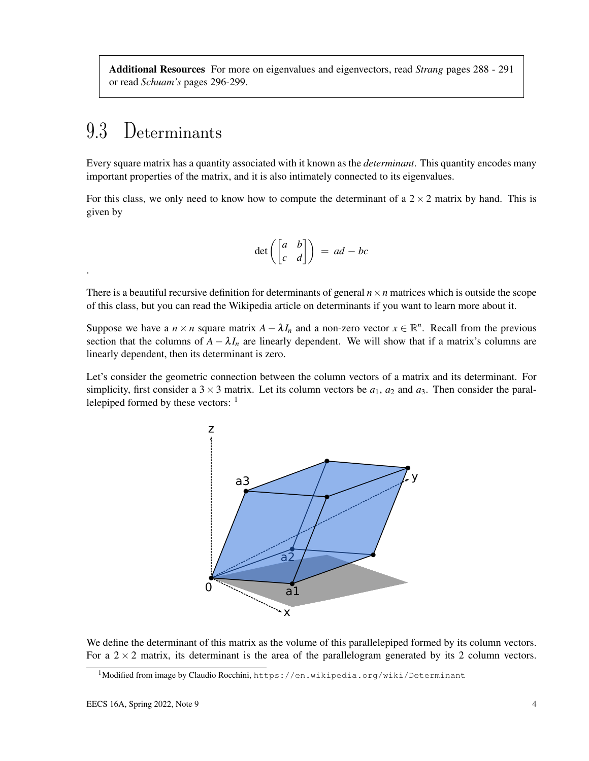Additional Resources For more on eigenvalues and eigenvectors, read *Strang* pages 288 - 291 or read *Schuam's* pages 296-299.

# 9.3 Determinants

.

Every square matrix has a quantity associated with it known as the *determinant*. This quantity encodes many important properties of the matrix, and it is also intimately connected to its eigenvalues.

For this class, we only need to know how to compute the determinant of a  $2 \times 2$  matrix by hand. This is given by

$$
\det\left(\begin{bmatrix} a & b \\ c & d \end{bmatrix}\right) = ad - bc
$$

There is a beautiful recursive definition for determinants of general  $n \times n$  matrices which is outside the scope of this class, but you can read the Wikipedia article on determinants if you want to learn more about it.

Suppose we have a  $n \times n$  square matrix  $A - \lambda I_n$  and a non-zero vector  $x \in \mathbb{R}^n$ . Recall from the previous section that the columns of  $A - \lambda I_n$  are linearly dependent. We will show that if a matrix's columns are linearly dependent, then its determinant is zero.

Let's consider the geometric connection between the column vectors of a matrix and its determinant. For simplicity, first consider a  $3 \times 3$  matrix. Let its column vectors be  $a_1$ ,  $a_2$  and  $a_3$ . Then consider the parallelepiped formed by these vectors:  $<sup>1</sup>$ </sup>



We define the determinant of this matrix as the volume of this parallelepiped formed by its column vectors. For a  $2 \times 2$  matrix, its determinant is the area of the parallelogram generated by its 2 column vectors.

<sup>&</sup>lt;sup>1</sup>Modified from image by Claudio Rocchini, https://en.wikipedia.org/wiki/Determinant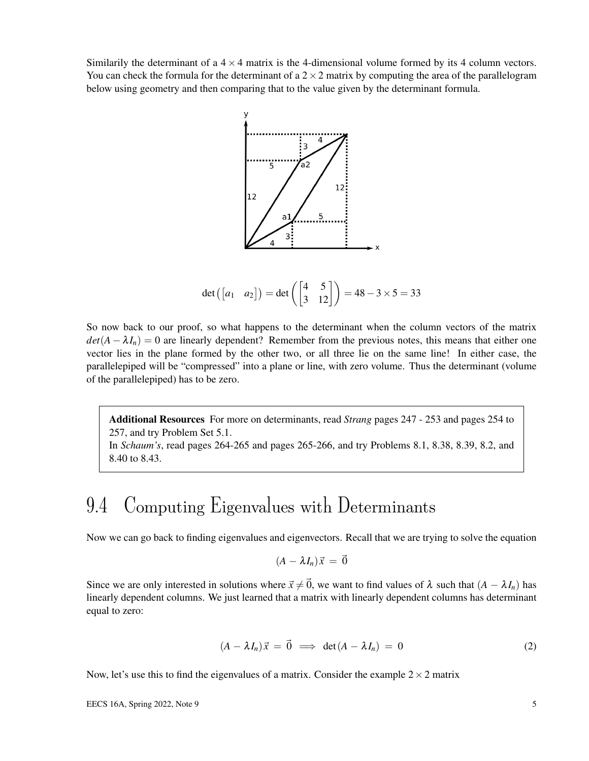Similarily the determinant of a  $4 \times 4$  matrix is the 4-dimensional volume formed by its 4 column vectors. You can check the formula for the determinant of a  $2 \times 2$  matrix by computing the area of the parallelogram below using geometry and then comparing that to the value given by the determinant formula.



$$
\det\begin{pmatrix} a_1 & a_2 \end{pmatrix} = \det\begin{pmatrix} 4 & 5 \\ 3 & 12 \end{pmatrix} = 48 - 3 \times 5 = 33
$$

So now back to our proof, so what happens to the determinant when the column vectors of the matrix  $det(A - \lambda I_n) = 0$  are linearly dependent? Remember from the previous notes, this means that either one vector lies in the plane formed by the other two, or all three lie on the same line! In either case, the parallelepiped will be "compressed" into a plane or line, with zero volume. Thus the determinant (volume of the parallelepiped) has to be zero.

Additional Resources For more on determinants, read *Strang* pages 247 - 253 and pages 254 to 257, and try Problem Set 5.1.

In *Schaum's*, read pages 264-265 and pages 265-266, and try Problems 8.1, 8.38, 8.39, 8.2, and 8.40 to 8.43.

# 9.4 Computing Eigenvalues with Determinants

Now we can go back to finding eigenvalues and eigenvectors. Recall that we are trying to solve the equation

$$
(A - \lambda I_n)\vec{x} = \vec{0}
$$

Since we are only interested in solutions where  $\vec{x} \neq \vec{0}$ , we want to find values of  $\lambda$  such that  $(A - \lambda I_n)$  has linearly dependent columns. We just learned that a matrix with linearly dependent columns has determinant equal to zero:

$$
(A - \lambda I_n)\vec{x} = \vec{0} \implies \det(A - \lambda I_n) = 0 \tag{2}
$$

Now, let's use this to find the eigenvalues of a matrix. Consider the example  $2 \times 2$  matrix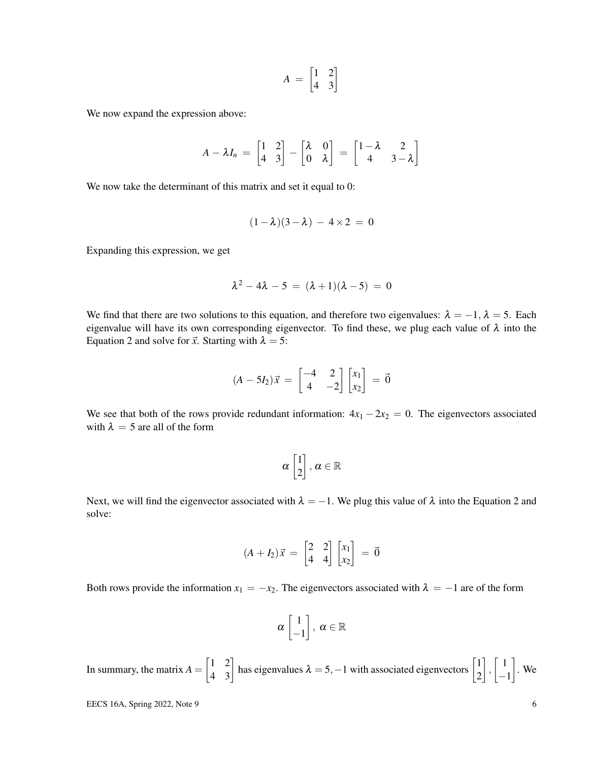$$
A = \begin{bmatrix} 1 & 2 \\ 4 & 3 \end{bmatrix}
$$

We now expand the expression above:

$$
A - \lambda I_n = \begin{bmatrix} 1 & 2 \\ 4 & 3 \end{bmatrix} - \begin{bmatrix} \lambda & 0 \\ 0 & \lambda \end{bmatrix} = \begin{bmatrix} 1 - \lambda & 2 \\ 4 & 3 - \lambda \end{bmatrix}
$$

We now take the determinant of this matrix and set it equal to 0:

$$
(1-\lambda)(3-\lambda) - 4 \times 2 = 0
$$

Expanding this expression, we get

$$
\lambda^2 - 4\lambda - 5 = (\lambda + 1)(\lambda - 5) = 0
$$

We find that there are two solutions to this equation, and therefore two eigenvalues:  $\lambda = -1$ ,  $\lambda = 5$ . Each eigenvalue will have its own corresponding eigenvector. To find these, we plug each value of  $\lambda$  into the Equation 2 and solve for  $\vec{x}$ . Starting with  $\lambda = 5$ :

$$
(A - 5I_2)\vec{x} = \begin{bmatrix} -4 & 2 \\ 4 & -2 \end{bmatrix} \begin{bmatrix} x_1 \\ x_2 \end{bmatrix} = \vec{0}
$$

We see that both of the rows provide redundant information:  $4x_1 - 2x_2 = 0$ . The eigenvectors associated with  $\lambda = 5$  are all of the form

$$
\alpha \begin{bmatrix} 1 \\ 2 \end{bmatrix}, \, \alpha \in \mathbb{R}
$$

Next, we will find the eigenvector associated with  $\lambda = -1$ . We plug this value of  $\lambda$  into the Equation 2 and solve:

$$
(A + I_2)\vec{x} = \begin{bmatrix} 2 & 2 \\ 4 & 4 \end{bmatrix} \begin{bmatrix} x_1 \\ x_2 \end{bmatrix} = \vec{0}
$$

Both rows provide the information  $x_1 = -x_2$ . The eigenvectors associated with  $\lambda = -1$  are of the form

$$
\alpha \begin{bmatrix} 1 \\ -1 \end{bmatrix}, \ \alpha \in \mathbb{R}
$$

In summary, the matrix  $A = \begin{bmatrix} 1 & 2 \\ 4 & 3 \end{bmatrix}$  has eigenvalues  $\lambda = 5, -1$  with associated eigenvectors  $\begin{bmatrix} 1 \\ 2 \end{bmatrix}$ 2  $\Big\}$ ,  $\Big\}$  1 −1  $\big]$ . We

EECS 16A, Spring 2022, Note 9  $\qquad \qquad$  6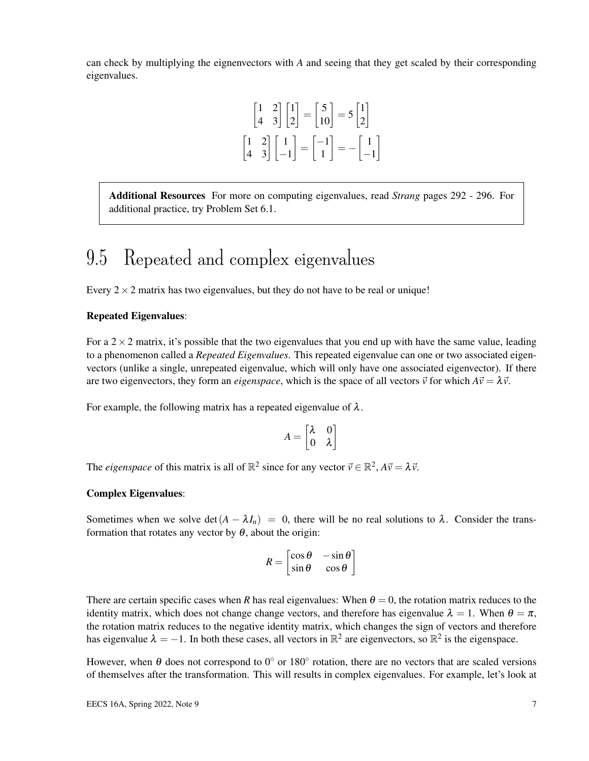can check by multiplying the eignenvectors with *A* and seeing that they get scaled by their corresponding eigenvalues.

$$
\begin{bmatrix} 1 & 2 \ 4 & 3 \end{bmatrix} \begin{bmatrix} 1 \ 2 \end{bmatrix} = \begin{bmatrix} 5 \ 10 \end{bmatrix} = 5 \begin{bmatrix} 1 \ 2 \end{bmatrix}
$$

$$
\begin{bmatrix} 1 & 2 \ 4 & 3 \end{bmatrix} \begin{bmatrix} 1 \ -1 \end{bmatrix} = \begin{bmatrix} -1 \ 1 \end{bmatrix} = -\begin{bmatrix} 1 \ -1 \end{bmatrix}
$$

Additional Resources For more on computing eigenvalues, read *Strang* pages 292 - 296. For additional practice, try Problem Set 6.1.

## 9.5 Repeated and complex eigenvalues

Every  $2 \times 2$  matrix has two eigenvalues, but they do not have to be real or unique!

#### Repeated Eigenvalues:

For a  $2 \times 2$  matrix, it's possible that the two eigenvalues that you end up with have the same value, leading to a phenomenon called a *Repeated Eigenvalues*. This repeated eigenvalue can one or two associated eigenvectors (unlike a single, unrepeated eigenvalue, which will only have one associated eigenvector). If there are two eigenvectors, they form an *eigenspace*, which is the space of all vectors  $\vec{v}$  for which  $A\vec{v} = \lambda \vec{v}$ .

For example, the following matrix has a repeated eigenvalue of  $\lambda$ .

$$
A = \begin{bmatrix} \lambda & 0 \\ 0 & \lambda \end{bmatrix}
$$

The *eigenspace* of this matrix is all of  $\mathbb{R}^2$  since for any vector  $\vec{v} \in \mathbb{R}^2$ ,  $A\vec{v} = \lambda \vec{v}$ .

#### Complex Eigenvalues:

Sometimes when we solve det( $A - \lambda I_n$ ) = 0, there will be no real solutions to  $\lambda$ . Consider the transformation that rotates any vector by  $\theta$ , about the origin:

$$
R = \begin{bmatrix} \cos \theta & -\sin \theta \\ \sin \theta & \cos \theta \end{bmatrix}
$$

There are certain specific cases when *R* has real eigenvalues: When  $\theta = 0$ , the rotation matrix reduces to the identity matrix, which does not change change vectors, and therefore has eigenvalue  $\lambda = 1$ . When  $\theta = \pi$ , the rotation matrix reduces to the negative identity matrix, which changes the sign of vectors and therefore has eigenvalue  $\lambda = -1$ . In both these cases, all vectors in  $\mathbb{R}^2$  are eigenvectors, so  $\mathbb{R}^2$  is the eigenspace.

However, when  $\theta$  does not correspond to 0 $^{\circ}$  or 180 $^{\circ}$  rotation, there are no vectors that are scaled versions of themselves after the transformation. This will results in complex eigenvalues. For example, let's look at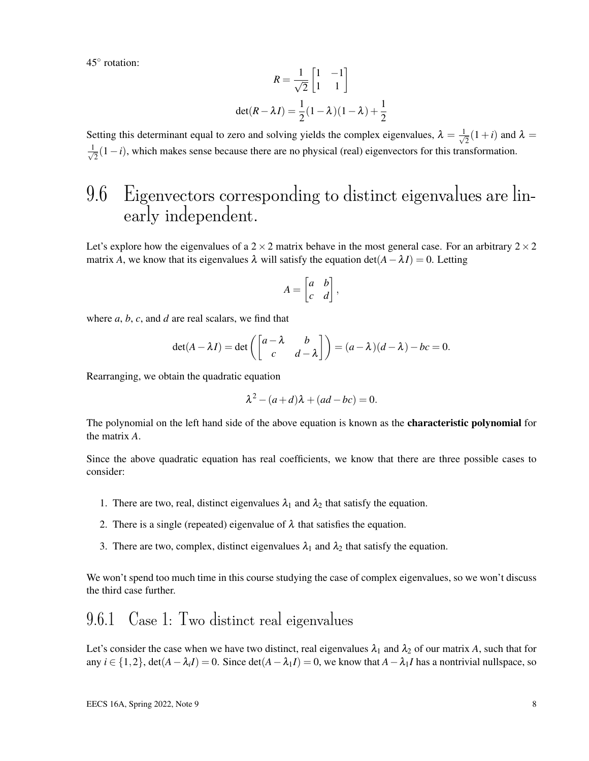45◦ rotation:

$$
R = \frac{1}{\sqrt{2}} \begin{bmatrix} 1 & -1 \\ 1 & 1 \end{bmatrix}
$$

$$
\det(R - \lambda I) = \frac{1}{2} (1 - \lambda)(1 - \lambda) + \frac{1}{2}
$$

Setting this determinant equal to zero and solving yields the complex eigenvalues,  $\lambda = \frac{1}{\sqrt{2}}$  $\frac{1}{2}(1+i)$  and  $\lambda =$  $\frac{1}{\sqrt{2}}$  $\overline{z}(1-i)$ , which makes sense because there are no physical (real) eigenvectors for this transformation.

## 9.6 Eigenvectors corresponding to distinct eigenvalues are linearly independent.

Let's explore how the eigenvalues of a  $2 \times 2$  matrix behave in the most general case. For an arbitrary  $2 \times 2$ matrix *A*, we know that its eigenvalues  $\lambda$  will satisfy the equation det( $A - \lambda I$ ) = 0. Letting

$$
A = \begin{bmatrix} a & b \\ c & d \end{bmatrix},
$$

where *a*, *b*, *c*, and *d* are real scalars, we find that

$$
\det(A - \lambda I) = \det\left(\begin{bmatrix} a - \lambda & b \\ c & d - \lambda \end{bmatrix}\right) = (a - \lambda)(d - \lambda) - bc = 0.
$$

Rearranging, we obtain the quadratic equation

$$
\lambda^2 - (a+d)\lambda + (ad-bc) = 0.
$$

The polynomial on the left hand side of the above equation is known as the **characteristic polynomial** for the matrix *A*.

Since the above quadratic equation has real coefficients, we know that there are three possible cases to consider:

- 1. There are two, real, distinct eigenvalues  $\lambda_1$  and  $\lambda_2$  that satisfy the equation.
- 2. There is a single (repeated) eigenvalue of  $\lambda$  that satisfies the equation.
- 3. There are two, complex, distinct eigenvalues  $\lambda_1$  and  $\lambda_2$  that satisfy the equation.

We won't spend too much time in this course studying the case of complex eigenvalues, so we won't discuss the third case further.

#### 9.6.1 Case 1: Two distinct real eigenvalues

Let's consider the case when we have two distinct, real eigenvalues  $\lambda_1$  and  $\lambda_2$  of our matrix A, such that for any  $i \in \{1,2\}$ , det $(A - \lambda_i I) = 0$ . Since det $(A - \lambda_1 I) = 0$ , we know that  $A - \lambda_1 I$  has a nontrivial nullspace, so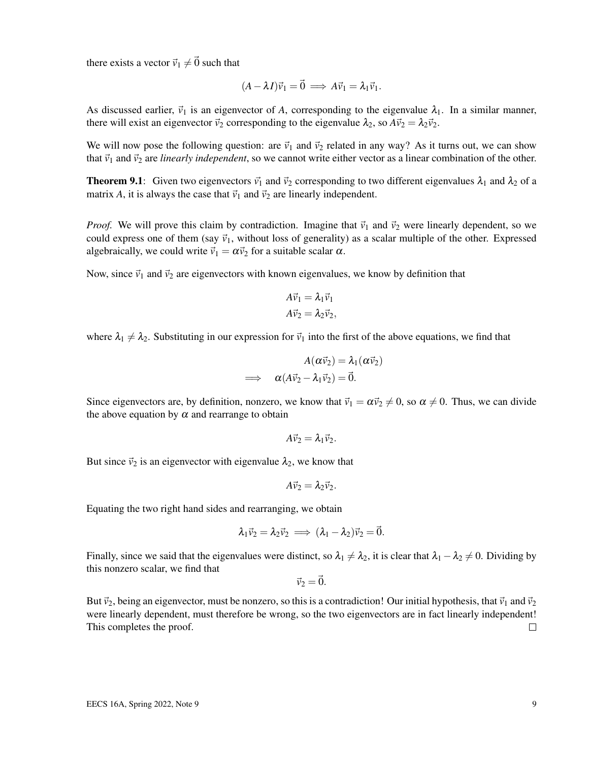there exists a vector  $\vec{v}_1 \neq \vec{0}$  such that

$$
(A - \lambda I)\vec{v}_1 = \vec{0} \implies A\vec{v}_1 = \lambda_1 \vec{v}_1.
$$

As discussed earlier,  $\vec{v}_1$  is an eigenvector of A, corresponding to the eigenvalue  $\lambda_1$ . In a similar manner, there will exist an eigenvector  $\vec{v}_2$  corresponding to the eigenvalue  $\lambda_2$ , so  $A\vec{v}_2 = \lambda_2\vec{v}_2$ .

We will now pose the following question: are  $\vec{v}_1$  and  $\vec{v}_2$  related in any way? As it turns out, we can show that  $\vec{v}_1$  and  $\vec{v}_2$  are *linearly independent*, so we cannot write either vector as a linear combination of the other.

**Theorem 9.1:** Given two eigenvectors  $\vec{v_1}$  and  $\vec{v_2}$  corresponding to two different eigenvalues  $\lambda_1$  and  $\lambda_2$  of a matrix *A*, it is always the case that  $\vec{v}_1$  and  $\vec{v}_2$  are linearly independent.

*Proof.* We will prove this claim by contradiction. Imagine that  $\vec{v}_1$  and  $\vec{v}_2$  were linearly dependent, so we could express one of them (say  $\vec{v}_1$ , without loss of generality) as a scalar multiple of the other. Expressed algebraically, we could write  $\vec{v}_1 = \alpha \vec{v}_2$  for a suitable scalar  $\alpha$ .

Now, since  $\vec{v}_1$  and  $\vec{v}_2$  are eigenvectors with known eigenvalues, we know by definition that

$$
A\vec{v}_1 = \lambda_1 \vec{v}_1
$$

$$
A\vec{v}_2 = \lambda_2 \vec{v}_2,
$$

where  $\lambda_1 \neq \lambda_2$ . Substituting in our expression for  $\vec{v}_1$  into the first of the above equations, we find that

$$
A(\alpha \vec{v}_2) = \lambda_1(\alpha \vec{v}_2)
$$
  
\n
$$
\implies \alpha(A\vec{v}_2 - \lambda_1 \vec{v}_2) = \vec{0}.
$$

Since eigenvectors are, by definition, nonzero, we know that  $\vec{v}_1 = \alpha \vec{v}_2 \neq 0$ , so  $\alpha \neq 0$ . Thus, we can divide the above equation by  $\alpha$  and rearrange to obtain

$$
A\vec{v}_2=\lambda_1\vec{v}_2.
$$

But since  $\vec{v}_2$  is an eigenvector with eigenvalue  $\lambda_2$ , we know that

$$
A\vec{v}_2=\lambda_2\vec{v}_2.
$$

Equating the two right hand sides and rearranging, we obtain

$$
\lambda_1\vec{\nu}_2=\lambda_2\vec{\nu}_2\implies (\lambda_1-\lambda_2)\vec{\nu}_2=\vec{0}.
$$

Finally, since we said that the eigenvalues were distinct, so  $\lambda_1 \neq \lambda_2$ , it is clear that  $\lambda_1 - \lambda_2 \neq 0$ . Dividing by this nonzero scalar, we find that

 $\vec{v}_2 = \vec{0}$ .

But  $\vec{v}_2$ , being an eigenvector, must be nonzero, so this is a contradiction! Our initial hypothesis, that  $\vec{v}_1$  and  $\vec{v}_2$ were linearly dependent, must therefore be wrong, so the two eigenvectors are in fact linearly independent! This completes the proof.  $\Box$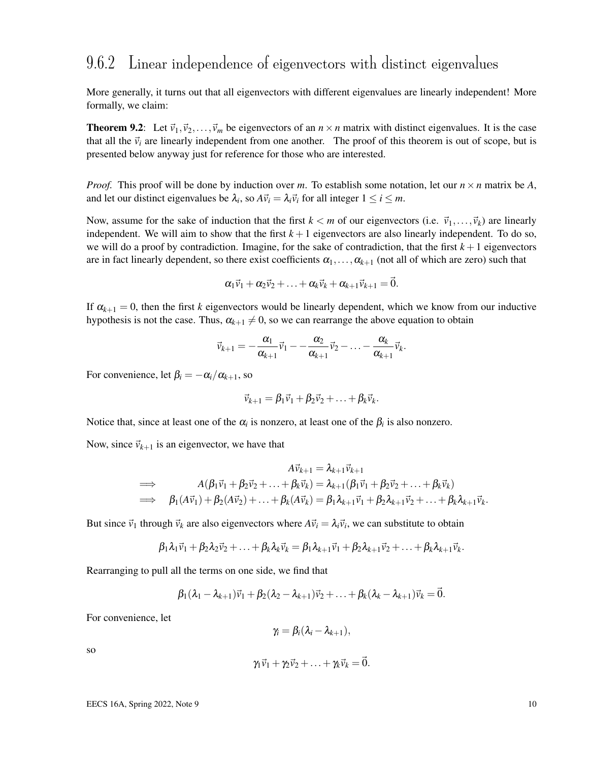#### 9.6.2 Linear independence of eigenvectors with distinct eigenvalues

More generally, it turns out that all eigenvectors with different eigenvalues are linearly independent! More formally, we claim:

**Theorem 9.2:** Let  $\vec{v}_1, \vec{v}_2, \dots, \vec{v}_m$  be eigenvectors of an  $n \times n$  matrix with distinct eigenvalues. It is the case that all the  $\vec{v}_i$  are linearly independent from one another. The proof of this theorem is out of scope, but is presented below anyway just for reference for those who are interested.

*Proof.* This proof will be done by induction over *m*. To establish some notation, let our  $n \times n$  matrix be A, and let our distinct eigenvalues be  $\lambda_i$ , so  $A\vec{v}_i = \lambda_i \vec{v}_i$  for all integer  $1 \le i \le m$ .

Now, assume for the sake of induction that the first  $k < m$  of our eigenvectors (i.e.  $\vec{v}_1, \dots, \vec{v}_k$ ) are linearly independent. We will aim to show that the first  $k+1$  eigenvectors are also linearly independent. To do so, we will do a proof by contradiction. Imagine, for the sake of contradiction, that the first  $k+1$  eigenvectors are in fact linearly dependent, so there exist coefficients  $\alpha_1, \ldots, \alpha_{k+1}$  (not all of which are zero) such that

$$
\alpha_1\vec{v}_1+\alpha_2\vec{v}_2+\ldots+\alpha_k\vec{v}_k+\alpha_{k+1}\vec{v}_{k+1}=\vec{0}.
$$

If  $\alpha_{k+1} = 0$ , then the first *k* eigenvectors would be linearly dependent, which we know from our inductive hypothesis is not the case. Thus,  $\alpha_{k+1} \neq 0$ , so we can rearrange the above equation to obtain

$$
\vec{v}_{k+1}=-\frac{\alpha_1}{\alpha_{k+1}}\vec{v}_1-\frac{\alpha_2}{\alpha_{k+1}}\vec{v}_2-\ldots-\frac{\alpha_k}{\alpha_{k+1}}\vec{v}_k.
$$

For convenience, let  $\beta_i = -\alpha_i/\alpha_{k+1}$ , so

$$
\vec{v}_{k+1} = \beta_1 \vec{v}_1 + \beta_2 \vec{v}_2 + \ldots + \beta_k \vec{v}_k.
$$

Notice that, since at least one of the  $\alpha_i$  is nonzero, at least one of the  $\beta_i$  is also nonzero.

Now, since  $\vec{v}_{k+1}$  is an eigenvector, we have that

$$
A\vec{v}_{k+1} = \lambda_{k+1}\vec{v}_{k+1}
$$
  
\n
$$
\implies A(\beta_1\vec{v}_1 + \beta_2\vec{v}_2 + \dots + \beta_k\vec{v}_k) = \lambda_{k+1}(\beta_1\vec{v}_1 + \beta_2\vec{v}_2 + \dots + \beta_k\vec{v}_k)
$$
  
\n
$$
\implies \beta_1(A\vec{v}_1) + \beta_2(A\vec{v}_2) + \dots + \beta_k(A\vec{v}_k) = \beta_1\lambda_{k+1}\vec{v}_1 + \beta_2\lambda_{k+1}\vec{v}_2 + \dots + \beta_k\lambda_{k+1}\vec{v}_k.
$$

But since  $\vec{v}_1$  through  $\vec{v}_k$  are also eigenvectors where  $A\vec{v}_i = \lambda_i \vec{v}_i$ , we can substitute to obtain

$$
\beta_1\lambda_1\vec{v}_1+\beta_2\lambda_2\vec{v}_2+\ldots+\beta_k\lambda_k\vec{v}_k=\beta_1\lambda_{k+1}\vec{v}_1+\beta_2\lambda_{k+1}\vec{v}_2+\ldots+\beta_k\lambda_{k+1}\vec{v}_k.
$$

Rearranging to pull all the terms on one side, we find that

$$
\beta_1(\lambda_1-\lambda_{k+1})\vec{v}_1+\beta_2(\lambda_2-\lambda_{k+1})\vec{v}_2+\ldots+\beta_k(\lambda_k-\lambda_{k+1})\vec{v}_k=\vec{0}.
$$

For convenience, let

$$
\gamma_i = \beta_i(\lambda_i - \lambda_{k+1}),
$$

so

$$
\gamma_1\vec{v}_1+\gamma_2\vec{v}_2+\ldots+\gamma_k\vec{v}_k=\vec{0}.
$$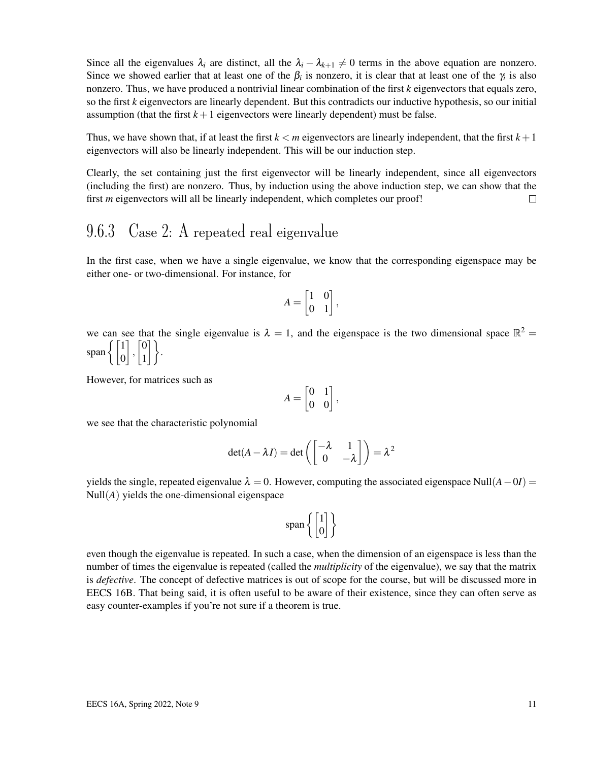Since all the eigenvalues  $\lambda_i$  are distinct, all the  $\lambda_i - \lambda_{k+1} \neq 0$  terms in the above equation are nonzero. Since we showed earlier that at least one of the  $\beta_i$  is nonzero, it is clear that at least one of the  $\gamma_i$  is also nonzero. Thus, we have produced a nontrivial linear combination of the first *k* eigenvectors that equals zero, so the first *k* eigenvectors are linearly dependent. But this contradicts our inductive hypothesis, so our initial assumption (that the first  $k+1$  eigenvectors were linearly dependent) must be false.

Thus, we have shown that, if at least the first  $k < m$  eigenvectors are linearly independent, that the first  $k+1$ eigenvectors will also be linearly independent. This will be our induction step.

Clearly, the set containing just the first eigenvector will be linearly independent, since all eigenvectors (including the first) are nonzero. Thus, by induction using the above induction step, we can show that the first *m* eigenvectors will all be linearly independent, which completes our proof!  $\Box$ 

### 9.6.3 Case 2: A repeated real eigenvalue

In the first case, when we have a single eigenvalue, we know that the corresponding eigenspace may be either one- or two-dimensional. For instance, for

$$
A = \begin{bmatrix} 1 & 0 \\ 0 & 1 \end{bmatrix},
$$

we can see that the single eigenvalue is  $\lambda = 1$ , and the eigenspace is the two dimensional space  $\mathbb{R}^2 =$ span $\left\{ \begin{bmatrix} 1 \\ 0 \end{bmatrix} \right.$  $\Big]$ ,  $\Big[ \begin{matrix} 0 \\ 1 \end{matrix} \Big]$  $\begin{bmatrix} 0 \\ 1 \end{bmatrix}$ .

However, for matrices such as

$$
A = \begin{bmatrix} 0 & 1 \\ 0 & 0 \end{bmatrix},
$$

we see that the characteristic polynomial

$$
\det(A - \lambda I) = \det\left(\begin{bmatrix} -\lambda & 1\\ 0 & -\lambda \end{bmatrix}\right) = \lambda^2
$$

yields the single, repeated eigenvalue  $\lambda = 0$ . However, computing the associated eigenspace Null( $A - 0I$ ) =  $Null(A)$  yields the one-dimensional eigenspace

$$
span\left\{ \begin{bmatrix} 1 \\ 0 \end{bmatrix} \right\}
$$

even though the eigenvalue is repeated. In such a case, when the dimension of an eigenspace is less than the number of times the eigenvalue is repeated (called the *multiplicity* of the eigenvalue), we say that the matrix is *defective*. The concept of defective matrices is out of scope for the course, but will be discussed more in EECS 16B. That being said, it is often useful to be aware of their existence, since they can often serve as easy counter-examples if you're not sure if a theorem is true.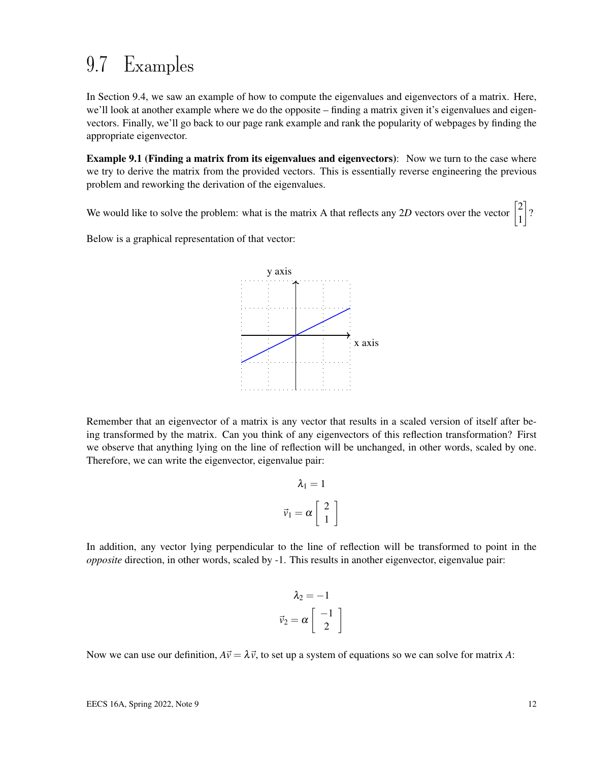# 9.7 Examples

In Section 9.4, we saw an example of how to compute the eigenvalues and eigenvectors of a matrix. Here, we'll look at another example where we do the opposite – finding a matrix given it's eigenvalues and eigenvectors. Finally, we'll go back to our page rank example and rank the popularity of webpages by finding the appropriate eigenvector.

Example 9.1 (Finding a matrix from its eigenvalues and eigenvectors): Now we turn to the case where we try to derive the matrix from the provided vectors. This is essentially reverse engineering the previous problem and reworking the derivation of the eigenvalues.

We would like to solve the problem: what is the matrix A that reflects any 2D vectors over the vector  $\begin{bmatrix} 2 & 1 \\ 2 & 1 \end{bmatrix}$ 1  $\rceil$ ?

Below is a graphical representation of that vector:



Remember that an eigenvector of a matrix is any vector that results in a scaled version of itself after being transformed by the matrix. Can you think of any eigenvectors of this reflection transformation? First we observe that anything lying on the line of reflection will be unchanged, in other words, scaled by one. Therefore, we can write the eigenvector, eigenvalue pair:

$$
\lambda_1 = 1
$$
  

$$
\vec{v}_1 = \alpha \begin{bmatrix} 2 \\ 1 \end{bmatrix}
$$

In addition, any vector lying perpendicular to the line of reflection will be transformed to point in the *opposite* direction, in other words, scaled by -1. This results in another eigenvector, eigenvalue pair:

$$
\lambda_2 = -1
$$
  

$$
\vec{v}_2 = \alpha \begin{bmatrix} -1 \\ 2 \end{bmatrix}
$$

Now we can use our definition,  $A\vec{v} = \lambda \vec{v}$ , to set up a system of equations so we can solve for matrix A: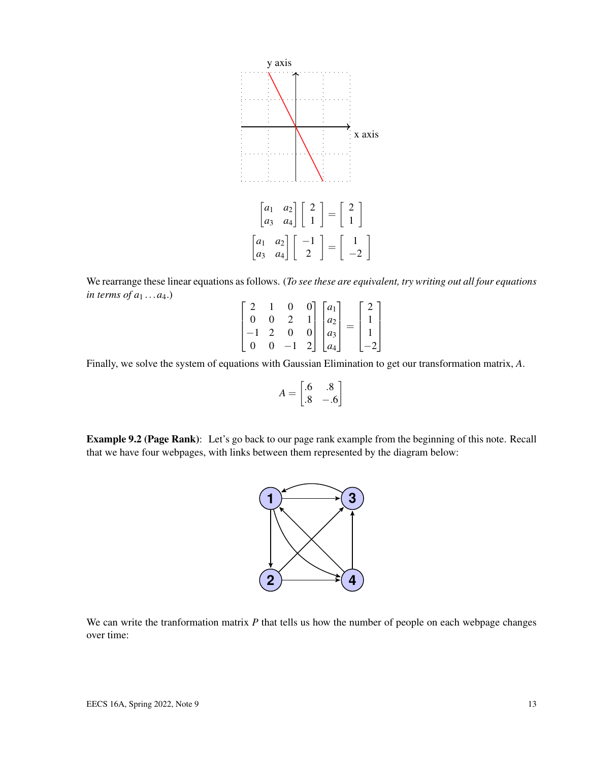

We rearrange these linear equations as follows. (*To see these are equivalent, try writing out all four equations in terms of a*<sup>1</sup> ...*a*4.)

$$
\begin{bmatrix} 2 & 1 & 0 & 0 \ 0 & 0 & 2 & 1 \ -1 & 2 & 0 & 0 \ 0 & 0 & -1 & 2 \ \end{bmatrix} \begin{bmatrix} a_1 \ a_2 \ a_3 \ a_4 \end{bmatrix} = \begin{bmatrix} 2 \ 1 \ 1 \ -2 \end{bmatrix}
$$

Finally, we solve the system of equations with Gaussian Elimination to get our transformation matrix, *A*.

$$
A = \begin{bmatrix} .6 & .8 \\ .8 & -.6 \end{bmatrix}
$$

Example 9.2 (Page Rank): Let's go back to our page rank example from the beginning of this note. Recall that we have four webpages, with links between them represented by the diagram below:



We can write the tranformation matrix *P* that tells us how the number of people on each webpage changes over time: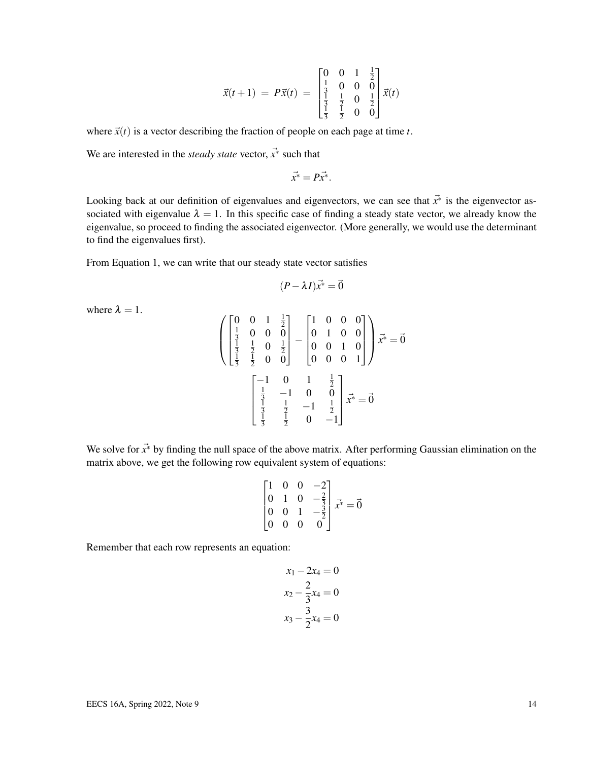$$
\vec{x}(t+1) = P\vec{x}(t) = \begin{bmatrix} 0 & 0 & 1 & \frac{1}{2} \\ \frac{1}{3} & 0 & 0 & 0 \\ \frac{1}{3} & \frac{1}{2} & 0 & \frac{1}{2} \\ \frac{1}{3} & \frac{1}{2} & 0 & 0 \end{bmatrix} \vec{x}(t)
$$

where  $\vec{x}(t)$  is a vector describing the fraction of people on each page at time *t*.

We are interested in the *steady state* vector,  $\vec{x}^*$  such that

$$
\vec{x}^* = P\vec{x}^*.
$$

Looking back at our definition of eigenvalues and eigenvectors, we can see that *x*~<sup>∗</sup> is the eigenvector associated with eigenvalue  $\lambda = 1$ . In this specific case of finding a steady state vector, we already know the eigenvalue, so proceed to finding the associated eigenvector. (More generally, we would use the determinant to find the eigenvalues first).

From Equation 1, we can write that our steady state vector satisfies

$$
(P - \lambda I)\vec{x^*} = \vec{0}
$$

where  $\lambda = 1$ .

$$
\begin{pmatrix}\n0 & 0 & 1 & \frac{1}{2} \\
\frac{1}{3} & 0 & 0 & 0 \\
\frac{1}{3} & \frac{1}{2} & 0 & \frac{1}{2} \\
\frac{1}{3} & \frac{1}{2} & 0 & 0\n\end{pmatrix} - \begin{pmatrix}\n1 & 0 & 0 & 0 \\
0 & 1 & 0 & 0 \\
0 & 0 & 1 & 0 \\
0 & 0 & 0 & 1\n\end{pmatrix} \vec{x}^* = \vec{0}
$$
\n
$$
\begin{bmatrix}\n-1 & 0 & 1 & \frac{1}{2} \\
\frac{1}{3} & -1 & 0 & 0 \\
\frac{1}{3} & \frac{1}{2} & -1 & \frac{1}{2} \\
\frac{1}{3} & \frac{1}{2} & 0 & -1\n\end{bmatrix} \vec{x}^* = \vec{0}
$$

We solve for  $\vec{x}$ <sup>∗</sup> by finding the null space of the above matrix. After performing Gaussian elimination on the matrix above, we get the following row equivalent system of equations:

$$
\begin{bmatrix} 1 & 0 & 0 & -2 \\ 0 & 1 & 0 & -\frac{2}{3} \\ 0 & 0 & 1 & -\frac{3}{2} \\ 0 & 0 & 0 & 0 \end{bmatrix} \vec{x}^* = \vec{0}
$$

Remember that each row represents an equation:

$$
x_1 - 2x_4 = 0
$$
  

$$
x_2 - \frac{2}{3}x_4 = 0
$$
  

$$
x_3 - \frac{3}{2}x_4 = 0
$$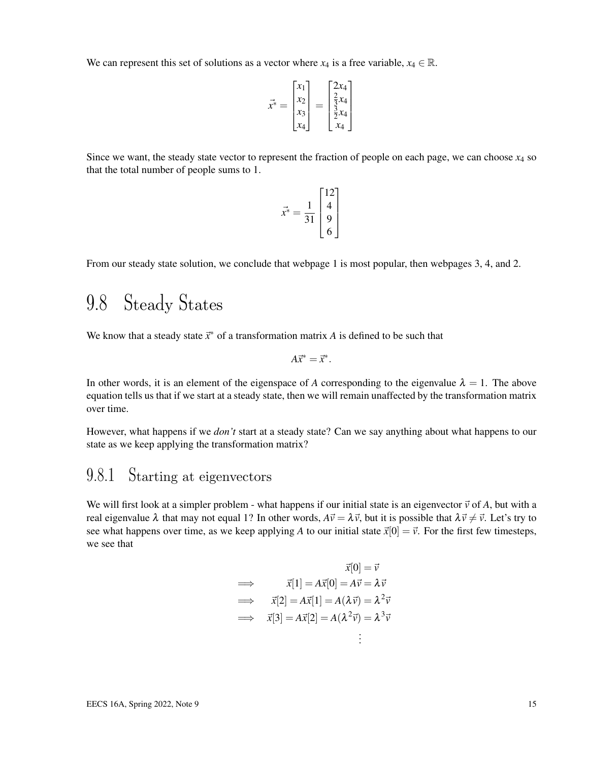We can represent this set of solutions as a vector where  $x_4$  is a free variable,  $x_4 \in \mathbb{R}$ .

$$
\vec{x}^* = \begin{bmatrix} x_1 \\ x_2 \\ x_3 \\ x_4 \end{bmatrix} = \begin{bmatrix} 2x_4 \\ \frac{2}{3}x_4 \\ \frac{3}{2}x_4 \\ x_4 \end{bmatrix}
$$

Since we want, the steady state vector to represent the fraction of people on each page, we can choose  $x_4$  so that the total number of people sums to 1.

$$
\vec{x}^* = \frac{1}{31} \begin{bmatrix} 12 \\ 4 \\ 9 \\ 6 \end{bmatrix}
$$

From our steady state solution, we conclude that webpage 1 is most popular, then webpages 3, 4, and 2.

# 9.8 Steady States

We know that a steady state  $\vec{x}^*$  of a transformation matrix *A* is defined to be such that

$$
A\vec{x}^* = \vec{x}^*.
$$

In other words, it is an element of the eigenspace of *A* corresponding to the eigenvalue  $\lambda = 1$ . The above equation tells us that if we start at a steady state, then we will remain unaffected by the transformation matrix over time.

However, what happens if we *don't* start at a steady state? Can we say anything about what happens to our state as we keep applying the transformation matrix?

## 9.8.1 Starting at eigenvectors

We will first look at a simpler problem - what happens if our initial state is an eigenvector  $\vec{v}$  of A, but with a real eigenvalue  $\lambda$  that may not equal 1? In other words,  $A\vec{v} = \lambda \vec{v}$ , but it is possible that  $\lambda \vec{v} \neq \vec{v}$ . Let's try to see what happens over time, as we keep applying A to our initial state  $\vec{x}[0] = \vec{v}$ . For the first few timesteps, we see that

$$
\vec{x}[0] = \vec{v}
$$
\n
$$
\implies \quad \vec{x}[1] = A\vec{x}[0] = A\vec{v} = \lambda \vec{v}
$$
\n
$$
\implies \quad \vec{x}[2] = A\vec{x}[1] = A(\lambda \vec{v}) = \lambda^2 \vec{v}
$$
\n
$$
\implies \quad \vec{x}[3] = A\vec{x}[2] = A(\lambda^2 \vec{v}) = \lambda^3 \vec{v}
$$
\n
$$
\vdots
$$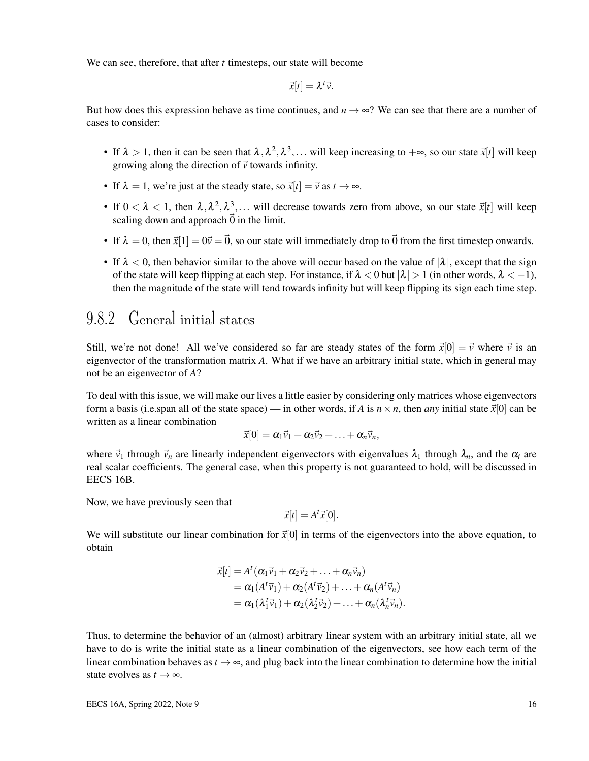We can see, therefore, that after *t* timesteps, our state will become

$$
\vec{x}[t] = \lambda^t \vec{v}.
$$

But how does this expression behave as time continues, and  $n \to \infty$ ? We can see that there are a number of cases to consider:

- If  $\lambda > 1$ , then it can be seen that  $\lambda, \lambda^2, \lambda^3, \dots$  will keep increasing to  $+\infty$ , so our state  $\vec{x}[t]$  will keep growing along the direction of  $\vec{v}$  towards infinity.
- If  $\lambda = 1$ , we're just at the steady state, so  $\vec{x}[t] = \vec{v}$  as  $t \rightarrow \infty$ .
- If  $0 < \lambda < 1$ , then  $\lambda, \lambda^2, \lambda^3, \ldots$  will decrease towards zero from above, so our state  $\vec{x}[t]$  will keep scaling down and approach  $\vec{0}$  in the limit.
- If  $\lambda = 0$ , then  $\vec{x}[1] = 0\vec{v} = \vec{0}$ , so our state will immediately drop to  $\vec{0}$  from the first timestep onwards.
- If  $\lambda < 0$ , then behavior similar to the above will occur based on the value of  $|\lambda|$ , except that the sign of the state will keep flipping at each step. For instance, if  $\lambda < 0$  but  $|\lambda| > 1$  (in other words,  $\lambda < -1$ ), then the magnitude of the state will tend towards infinity but will keep flipping its sign each time step.

#### 9.8.2 General initial states

Still, we're not done! All we've considered so far are steady states of the form  $\vec{x}[0] = \vec{v}$  where  $\vec{v}$  is an eigenvector of the transformation matrix *A*. What if we have an arbitrary initial state, which in general may not be an eigenvector of *A*?

To deal with this issue, we will make our lives a little easier by considering only matrices whose eigenvectors form a basis (i.e.span all of the state space) — in other words, if *A* is  $n \times n$ , then *any* initial state  $\vec{x}[0]$  can be written as a linear combination

$$
\vec{x}[0] = \alpha_1 \vec{v}_1 + \alpha_2 \vec{v}_2 + \ldots + \alpha_n \vec{v}_n,
$$

where  $\vec{v}_1$  through  $\vec{v}_n$  are linearly independent eigenvectors with eigenvalues  $\lambda_1$  through  $\lambda_n$ , and the  $\alpha_i$  are real scalar coefficients. The general case, when this property is not guaranteed to hold, will be discussed in EECS 16B.

Now, we have previously seen that

$$
\vec{x}[t] = A^t \vec{x}[0].
$$

We will substitute our linear combination for  $\vec{x}[0]$  in terms of the eigenvectors into the above equation, to obtain

$$
\vec{x}[t] = A^t (\alpha_1 \vec{v}_1 + \alpha_2 \vec{v}_2 + \ldots + \alpha_n \vec{v}_n)
$$
  
=  $\alpha_1 (A^t \vec{v}_1) + \alpha_2 (A^t \vec{v}_2) + \ldots + \alpha_n (A^t \vec{v}_n)$   
=  $\alpha_1 (\lambda_1^t \vec{v}_1) + \alpha_2 (\lambda_2^t \vec{v}_2) + \ldots + \alpha_n (\lambda_n^t \vec{v}_n).$ 

Thus, to determine the behavior of an (almost) arbitrary linear system with an arbitrary initial state, all we have to do is write the initial state as a linear combination of the eigenvectors, see how each term of the linear combination behaves as  $t \to \infty$ , and plug back into the linear combination to determine how the initial state evolves as  $t \to \infty$ .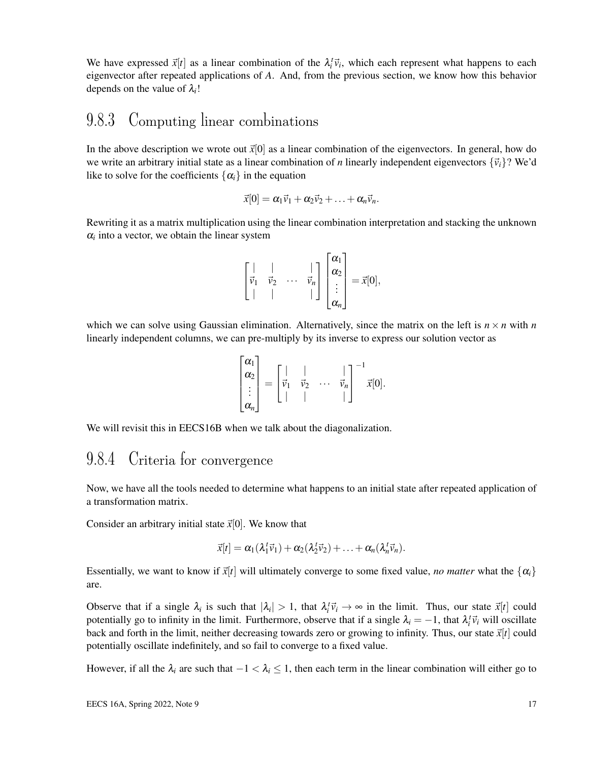We have expressed  $\vec{x}[t]$  as a linear combination of the  $\lambda_i^t \vec{v}_i$ , which each represent what happens to each eigenvector after repeated applications of *A*. And, from the previous section, we know how this behavior depends on the value of  $\lambda_i!$ 

#### 9.8.3 Computing linear combinations

In the above description we wrote out  $\vec{x}[0]$  as a linear combination of the eigenvectors. In general, how do we write an arbitrary initial state as a linear combination of *n* linearly independent eigenvectors  $\{\vec{v}_i\}$ ? We'd like to solve for the coefficients  $\{\alpha_i\}$  in the equation

$$
\vec{x}[0] = \alpha_1 \vec{v}_1 + \alpha_2 \vec{v}_2 + \ldots + \alpha_n \vec{v}_n.
$$

Rewriting it as a matrix multiplication using the linear combination interpretation and stacking the unknown  $\alpha$ <sup>*i*</sup> into a vector, we obtain the linear system

$$
\begin{bmatrix} | & | & \cdots & | \\ \vec{v}_1 & \vec{v}_2 & \cdots & \vec{v}_n \\ | & | & \cdots & | \end{bmatrix} \begin{bmatrix} \alpha_1 \\ \alpha_2 \\ \vdots \\ \alpha_n \end{bmatrix} = \vec{x}[0],
$$

which we can solve using Gaussian elimination. Alternatively, since the matrix on the left is  $n \times n$  with *n* linearly independent columns, we can pre-multiply by its inverse to express our solution vector as

$$
\begin{bmatrix} \alpha_1 \\ \alpha_2 \\ \vdots \\ \alpha_n \end{bmatrix} = \begin{bmatrix} | & | & \cdots & | \\ \vec{v}_1 & \vec{v}_2 & \cdots & \vec{v}_n \\ | & | & \cdots & | \end{bmatrix}^{-1} \vec{x}[0].
$$

We will revisit this in EECS16B when we talk about the diagonalization.

### 9.8.4 Criteria for convergence

Now, we have all the tools needed to determine what happens to an initial state after repeated application of a transformation matrix.

Consider an arbitrary initial state  $\vec{x}[0]$ . We know that

$$
\vec{x}[t] = \alpha_1(\lambda_1^t \vec{v}_1) + \alpha_2(\lambda_2^t \vec{v}_2) + \ldots + \alpha_n(\lambda_n^t \vec{v}_n).
$$

Essentially, we want to know if  $\vec{x}[t]$  will ultimately converge to some fixed value, *no matter* what the  $\{\alpha_i\}$ are.

Observe that if a single  $\lambda_i$  is such that  $|\lambda_i| > 1$ , that  $\lambda_i^t \vec{v}_i \to \infty$  in the limit. Thus, our state  $\vec{x}[t]$  could potentially go to infinity in the limit. Furthermore, observe that if a single  $\lambda_i = -1$ , that  $\lambda_i^t \vec{v}_i$  will oscillate back and forth in the limit, neither decreasing towards zero or growing to infinity. Thus, our state  $\vec{x}[t]$  could potentially oscillate indefinitely, and so fail to converge to a fixed value.

However, if all the  $\lambda_i$  are such that  $-1 < \lambda_i \leq 1$ , then each term in the linear combination will either go to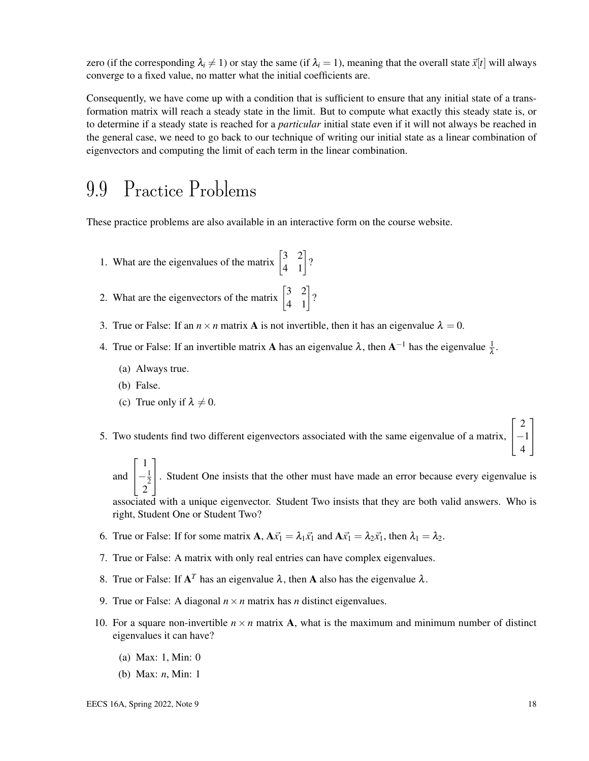zero (if the corresponding  $\lambda_i \neq 1$ ) or stay the same (if  $\lambda_i = 1$ ), meaning that the overall state  $\vec{x}[t]$  will always converge to a fixed value, no matter what the initial coefficients are.

Consequently, we have come up with a condition that is sufficient to ensure that any initial state of a transformation matrix will reach a steady state in the limit. But to compute what exactly this steady state is, or to determine if a steady state is reached for a *particular* initial state even if it will not always be reached in the general case, we need to go back to our technique of writing our initial state as a linear combination of eigenvectors and computing the limit of each term in the linear combination.

## 9.9 Practice Problems

These practice problems are also available in an interactive form on the course website.

- 1. What are the eigenvalues of the matrix  $\begin{bmatrix} 3 & 2 \\ 4 & 1 \end{bmatrix}$ ?
- 2. What are the eigenvectors of the matrix  $\begin{bmatrix} 3 & 2 \\ 4 & 1 \end{bmatrix}$ ?
- 3. True or False: If an  $n \times n$  matrix **A** is not invertible, then it has an eigenvalue  $\lambda = 0$ .
- 4. True or False: If an invertible matrix **A** has an eigenvalue  $\lambda$ , then  $A^{-1}$  has the eigenvalue  $\frac{1}{\lambda}$ .
	- (a) Always true.
	- (b) False.
	- (c) True only if  $\lambda \neq 0$ .
- 5. Two students find two different eigenvectors associated with the same eigenvalue of a matrix,  $\overline{1}$ −1  $\overline{a}$ 
	- and  $\sqrt{ }$  $\overline{1}$ 1  $-\frac{1}{2}$  $\frac{2}{2}$ 1 . Student One insists that the other must have made an error because every eigenvalue is

associated with a unique eigenvector. Student Two insists that they are both valid answers. Who is right, Student One or Student Two?

- 6. True or False: If for some matrix  $\mathbf{A}$ ,  $\mathbf{A}\vec{x}_1 = \lambda_1\vec{x}_1$  and  $\mathbf{A}\vec{x}_1 = \lambda_2\vec{x}_1$ , then  $\lambda_1 = \lambda_2$ .
- 7. True or False: A matrix with only real entries can have complex eigenvalues.
- 8. True or False: If  $A<sup>T</sup>$  has an eigenvalue  $\lambda$ , then A also has the eigenvalue  $\lambda$ .
- 9. True or False: A diagonal  $n \times n$  matrix has *n* distinct eigenvalues.
- 10. For a square non-invertible  $n \times n$  matrix **A**, what is the maximum and minimum number of distinct eigenvalues it can have?
	- (a) Max: 1, Min: 0
	- (b) Max: *n*, Min: 1

 $\sqrt{ }$ 

2

1

4